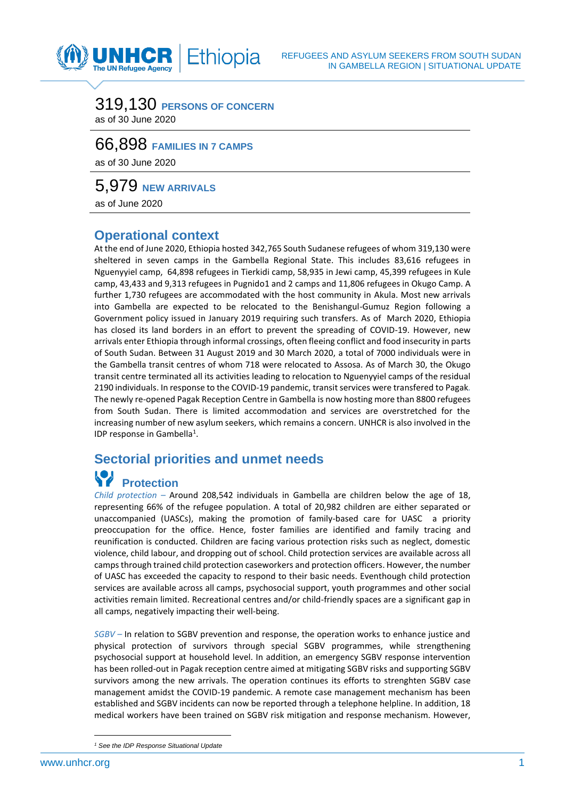### 319,130 **PERSONS OF CONCERN** as of 30 June 2020

Ethiopia

## 66,898 **FAMILIES IN 7 CAMPS**

as of 30 June 2020

NHCR The UN Refugee Agency

5,979 **NEW ARRIVALS**

as of June 2020

#### **Operational context**

At the end of June 2020, Ethiopia hosted 342,765 South Sudanese refugees of whom 319,130 were sheltered in seven camps in the Gambella Regional State. This includes 83,616 refugees in Nguenyyiel camp, 64,898 refugees in Tierkidi camp, 58,935 in Jewi camp, 45,399 refugees in Kule camp, 43,433 and 9,313 refugees in Pugnido1 and 2 camps and 11,806 refugees in Okugo Camp. A further 1,730 refugees are accommodated with the host community in Akula. Most new arrivals into Gambella are expected to be relocated to the Benishangul-Gumuz Region following a Government policy issued in January 2019 requiring such transfers. As of March 2020, Ethiopia has closed its land borders in an effort to prevent the spreading of COVID-19. However, new arrivals enter Ethiopia through informal crossings, often fleeing conflict and food insecurity in parts of South Sudan. Between 31 August 2019 and 30 March 2020, a total of 7000 individuals were in the Gambella transit centres of whom 718 were relocated to Assosa. As of March 30, the Okugo transit centre terminated all its activities leading to relocation to Nguenyyiel camps of the residual 2190 individuals. In response to the COVID-19 pandemic, transit services were transfered to Pagak*.* The newly re-opened Pagak Reception Centre in Gambella is now hosting more than 8800 refugees from South Sudan. There is limited accommodation and services are overstretched for the increasing number of new asylum seekers, which remains a concern. UNHCR is also involved in the IDP response in Gambella<sup>1</sup>.

### **Sectorial priorities and unmet needs**

## **Protection**

*Child protection –* Around 208,542 individuals in Gambella are children below the age of 18, representing 66% of the refugee population. A total of 20,982 children are either separated or unaccompanied (UASCs), making the promotion of family-based care for UASC a priority preoccupation for the office. Hence, foster families are identified and family tracing and reunification is conducted. Children are facing various protection risks such as neglect, domestic violence, child labour, and dropping out of school. Child protection services are available across all camps through trained child protection caseworkers and protection officers. However, the number of UASC has exceeded the capacity to respond to their basic needs. Eventhough child protection services are available across all camps, psychosocial support, youth programmes and other social activities remain limited. Recreational centres and/or child-friendly spaces are a significant gap in all camps, negatively impacting their well-being.

*SGBV –* In relation to SGBV prevention and response, the operation works to enhance justice and physical protection of survivors through special SGBV programmes, while strengthening psychosocial support at household level. In addition, an emergency SGBV response intervention has been rolled-out in Pagak reception centre aimed at mitigating SGBV risks and supporting SGBV survivors among the new arrivals. The operation continues its efforts to strenghten SGBV case management amidst the COVID-19 pandemic. A remote case management mechanism has been established and SGBV incidents can now be reported through a telephone helpline. In addition, 18 medical workers have been trained on SGBV risk mitigation and response mechanism. However,

*<sup>1</sup> See the IDP Response Situational Update*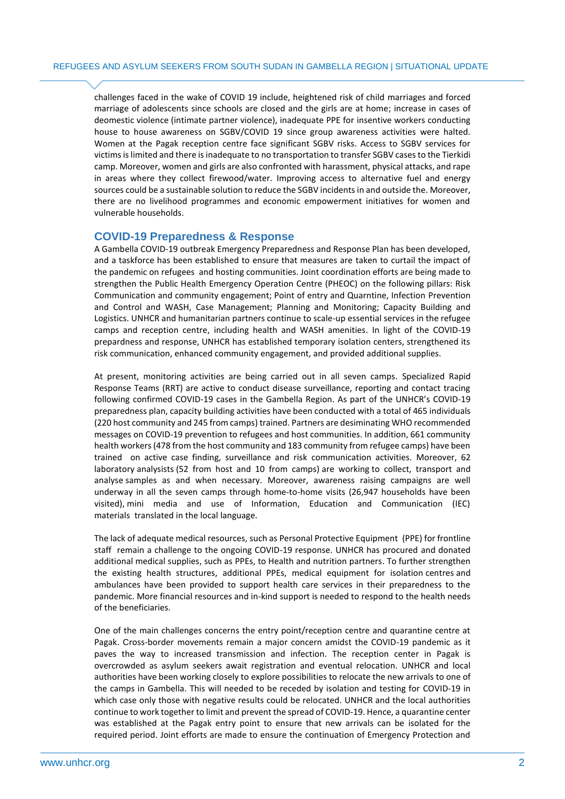challenges faced in the wake of COVID 19 include, heightened risk of child marriages and forced marriage of adolescents since schools are closed and the girls are at home; increase in cases of deomestic violence (intimate partner violence), inadequate PPE for insentive workers conducting house to house awareness on SGBV/COVID 19 since group awareness activities were halted. Women at the Pagak reception centre face significant SGBV risks. Access to SGBV services for victims islimited and there is inadequate to no transportation to transfer SGBV cases to the Tierkidi camp. Moreover, women and girls are also confronted with harassment, physical attacks, and rape in areas where they collect firewood/water. Improving access to alternative fuel and energy sources could be a sustainable solution to reduce the SGBV incidents in and outside the. Moreover, there are no livelihood programmes and economic empowerment initiatives for women and vulnerable households.

#### **COVID-19 Preparedness & Response**

A Gambella COVID-19 outbreak Emergency Preparedness and Response Plan has been developed, and a taskforce has been established to ensure that measures are taken to curtail the impact of the pandemic on refugees and hosting communities. Joint coordination efforts are being made to strengthen the Public Health Emergency Operation Centre (PHEOC) on the following pillars: Risk Communication and community engagement; Point of entry and Quarntine, Infection Prevention and Control and WASH, Case Management; Planning and Monitoring; Capacity Building and Logistics. UNHCR and humanitarian partners continue to scale-up essential services in the refugee camps and reception centre, including health and WASH amenities. In light of the COVID-19 prepardness and response, UNHCR has established temporary isolation centers, strengthened its risk communication, enhanced community engagement, and provided additional supplies.

At present, monitoring activities are being carried out in all seven camps. Specialized Rapid Response Teams (RRT) are active to conduct disease surveillance, reporting and contact tracing following confirmed COVID-19 cases in the Gambella Region. As part of the UNHCR's COVID-19 preparedness plan, capacity building activities have been conducted with a total of 465 individuals (220 host community and 245 from camps) trained. Partners are desiminating WHO recommended messages on COVID-19 prevention to refugees and host communities. In addition, 661 community health workers (478 from the host community and 183 community from refugee camps) have been trained on active case finding, surveillance and risk communication activities. Moreover, 62 laboratory analysists (52 from host and 10 from camps) are working to collect, transport and analyse samples as and when necessary. Moreover, awareness raising campaigns are well underway in all the seven camps through home-to-home visits (26,947 households have been visited), mini media and use of Information, Education and Communication (IEC) materials translated in the local language.

The lack of adequate medical resources, such as Personal Protective Equipment (PPE) for frontline staff remain a challenge to the ongoing COVID-19 response. UNHCR has procured and donated additional medical supplies, such as PPEs, to Health and nutrition partners. To further strengthen the existing health structures, additional PPEs, medical equipment for isolation centres and ambulances have been provided to support health care services in their preparedness to the pandemic. More financial resources and in-kind support is needed to respond to the health needs of the beneficiaries.

One of the main challenges concerns the entry point/reception centre and quarantine centre at Pagak. Cross-border movements remain a major concern amidst the COVID-19 pandemic as it paves the way to increased transmission and infection. The reception center in Pagak is overcrowded as asylum seekers await registration and eventual relocation. UNHCR and local authorities have been working closely to explore possibilities to relocate the new arrivals to one of the camps in Gambella. This will needed to be receded by isolation and testing for COVID-19 in which case only those with negative results could be relocated. UNHCR and the local authorities continue to work together to limit and prevent the spread of COVID-19. Hence, a quarantine center was established at the Pagak entry point to ensure that new arrivals can be isolated for the required period. Joint efforts are made to ensure the continuation of Emergency Protection and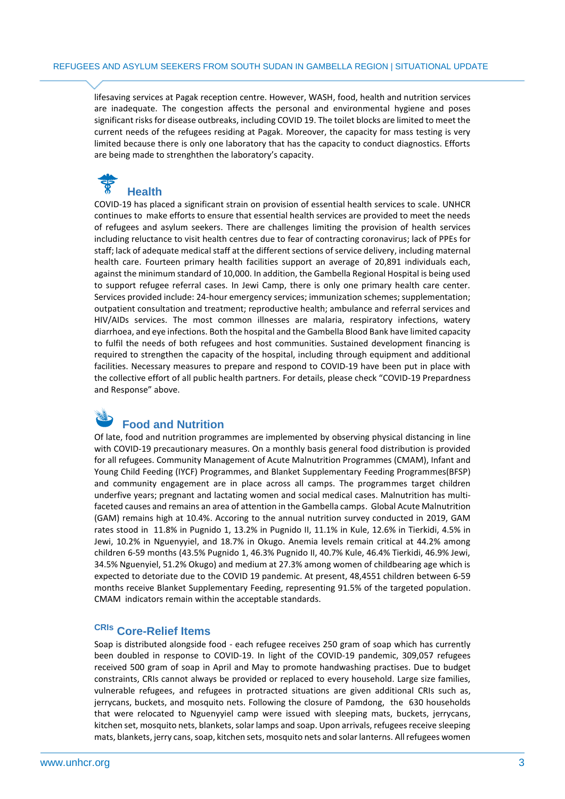lifesaving services at Pagak reception centre. However, WASH, food, health and nutrition services are inadequate. The congestion affects the personal and environmental hygiene and poses significant risks for disease outbreaks, including COVID 19. The toilet blocks are limited to meet the current needs of the refugees residing at Pagak. Moreover, the capacity for mass testing is very limited because there is only one laboratory that has the capacity to conduct diagnostics. Efforts are being made to strenghthen the laboratory's capacity.

# **Health**

COVID-19 has placed a significant strain on provision of essential health services to scale. UNHCR continues to make efforts to ensure that essential health services are provided to meet the needs of refugees and asylum seekers. There are challenges limiting the provision of health services including reluctance to visit health centres due to fear of contracting coronavirus; lack of PPEs for staff; lack of adequate medical staff at the different sections of service delivery, including maternal health care. Fourteen primary health facilities support an average of 20,891 individuals each, against the minimum standard of 10,000. In addition, the Gambella Regional Hospital is being used to support refugee referral cases. In Jewi Camp, there is only one primary health care center. Services provided include: 24-hour emergency services; immunization schemes; supplementation; outpatient consultation and treatment; reproductive health; ambulance and referral services and HIV/AIDs services. The most common illnesses are malaria, respiratory infections, watery diarrhoea, and eye infections. Both the hospital and the Gambella Blood Bank have limited capacity to fulfil the needs of both refugees and host communities. Sustained development financing is required to strengthen the capacity of the hospital, including through equipment and additional facilities. Necessary measures to prepare and respond to COVID-19 have been put in place with the collective effort of all public health partners. For details, please check "COVID-19 Prepardness and Response" above.

### **Food and Nutrition**

Of late, food and nutrition programmes are implemented by observing physical distancing in line with COVID-19 precautionary measures. On a monthly basis general food distribution is provided for all refugees. Community Management of Acute Malnutrition Programmes (CMAM), Infant and Young Child Feeding (IYCF) Programmes, and Blanket Supplementary Feeding Programmes(BFSP) and community engagement are in place across all camps. The programmes target children underfive years; pregnant and lactating women and social medical cases. Malnutrition has multifaceted causes and remains an area of attention in the Gambella camps. Global Acute Malnutrition (GAM) remains high at 10.4%. Accoring to the annual nutrition survey conducted in 2019, GAM rates stood in 11.8% in Pugnido 1, 13.2% in Pugnido II, 11.1% in Kule, 12.6% in Tierkidi, 4.5% in Jewi, 10.2% in Nguenyyiel, and 18.7% in Okugo. Anemia levels remain critical at 44.2% among children 6-59 months (43.5% Pugnido 1, 46.3% Pugnido II, 40.7% Kule, 46.4% Tierkidi, 46.9% Jewi, 34.5% Nguenyiel, 51.2% Okugo) and medium at 27.3% among women of childbearing age which is expected to detoriate due to the COVID 19 pandemic. At present, 48,4551 children between 6-59 months receive Blanket Supplementary Feeding, representing 91.5% of the targeted population. CMAM indicators remain within the acceptable standards.

#### **CRIs Core-Relief Items**

Soap is distributed alongside food - each refugee receives 250 gram of soap which has currently been doubled in response to COVID-19. In light of the COVID-19 pandemic, 309,057 refugees received 500 gram of soap in April and May to promote handwashing practises. Due to budget constraints, CRIs cannot always be provided or replaced to every household. Large size families, vulnerable refugees, and refugees in protracted situations are given additional CRIs such as, jerrycans, buckets, and mosquito nets. Following the closure of Pamdong, the 630 households that were relocated to Nguenyyiel camp were issued with sleeping mats, buckets, jerrycans, kitchen set, mosquito nets, blankets, solar lamps and soap. Upon arrivals, refugees receive sleeping mats, blankets, jerry cans, soap, kitchen sets, mosquito nets and solar lanterns. All refugees women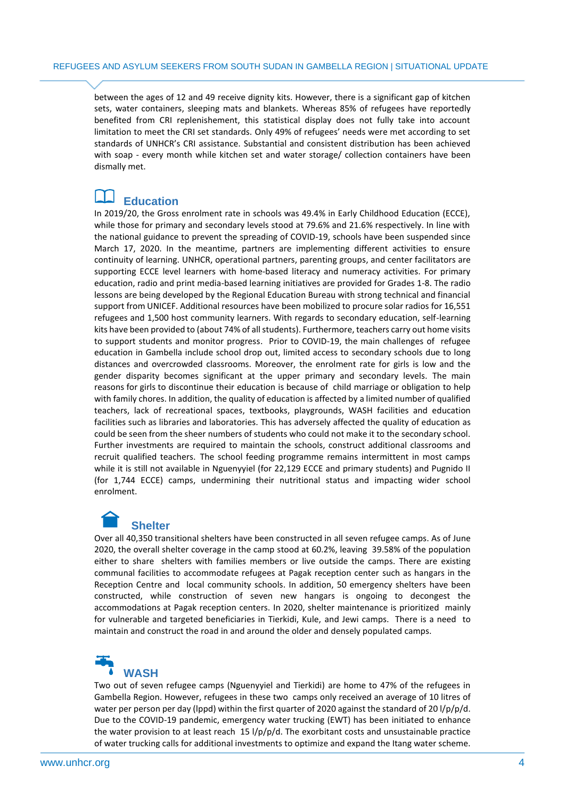between the ages of 12 and 49 receive dignity kits. However, there is a significant gap of kitchen sets, water containers, sleeping mats and blankets. Whereas 85% of refugees have reportedly benefited from CRI replenishement, this statistical display does not fully take into account limitation to meet the CRI set standards. Only 49% of refugees' needs were met according to set standards of UNHCR's CRI assistance. Substantial and consistent distribution has been achieved with soap - every month while kitchen set and water storage/ collection containers have been dismally met.

### **Education**

In 2019/20, the Gross enrolment rate in schools was 49.4% in Early Childhood Education (ECCE), while those for primary and secondary levels stood at 79.6% and 21.6% respectively. In line with the national guidance to prevent the spreading of COVID-19, schools have been suspended since March 17, 2020. In the meantime, partners are implementing different activities to ensure continuity of learning. UNHCR, operational partners, parenting groups, and center facilitators are supporting ECCE level learners with home-based literacy and numeracy activities. For primary education, radio and print media-based learning initiatives are provided for Grades 1-8. The radio lessons are being developed by the Regional Education Bureau with strong technical and financial support from UNICEF. Additional resources have been mobilized to procure solar radios for 16,551 refugees and 1,500 host community learners. With regards to secondary education, self-learning kits have been provided to (about 74% of all students). Furthermore, teachers carry out home visits to support students and monitor progress. Prior to COVID-19, the main challenges of refugee education in Gambella include school drop out, limited access to secondary schools due to long distances and overcrowded classrooms. Moreover, the enrolment rate for girls is low and the gender disparity becomes significant at the upper primary and secondary levels. The main reasons for girls to discontinue their education is because of child marriage or obligation to help with family chores. In addition, the quality of education is affected by a limited number of qualified teachers, lack of recreational spaces, textbooks, playgrounds, WASH facilities and education facilities such as libraries and laboratories. This has adversely affected the quality of education as could be seen from the sheer numbers of students who could not make it to the secondary school. Further investments are required to maintain the schools, construct additional classrooms and recruit qualified teachers. The school feeding programme remains intermittent in most camps while it is still not available in Nguenyyiel (for 22,129 ECCE and primary students) and Pugnido II (for 1,744 ECCE) camps, undermining their nutritional status and impacting wider school enrolment.

## **Shelter**

Over all 40,350 transitional shelters have been constructed in all seven refugee camps. As of June 2020, the overall shelter coverage in the camp stood at 60.2%, leaving 39.58% of the population either to share shelters with families members or live outside the camps. There are existing communal facilities to accommodate refugees at Pagak reception center such as hangars in the Reception Centre and local community schools. In addition, 50 emergency shelters have been constructed, while construction of seven new hangars is ongoing to decongest the accommodations at Pagak reception centers. In 2020, shelter maintenance is prioritized mainly for vulnerable and targeted beneficiaries in Tierkidi, Kule, and Jewi camps. There is a need to maintain and construct the road in and around the older and densely populated camps.

# **WASH**

Two out of seven refugee camps (Nguenyyiel and Tierkidi) are home to 47% of the refugees in Gambella Region. However, refugees in these two camps only received an average of 10 litres of water per person per day (lppd) within the first quarter of 2020 against the standard of 20 l/p/p/d. Due to the COVID-19 pandemic, emergency water trucking (EWT) has been initiated to enhance the water provision to at least reach  $15$  l/p/p/d. The exorbitant costs and unsustainable practice of water trucking calls for additional investments to optimize and expand the Itang water scheme.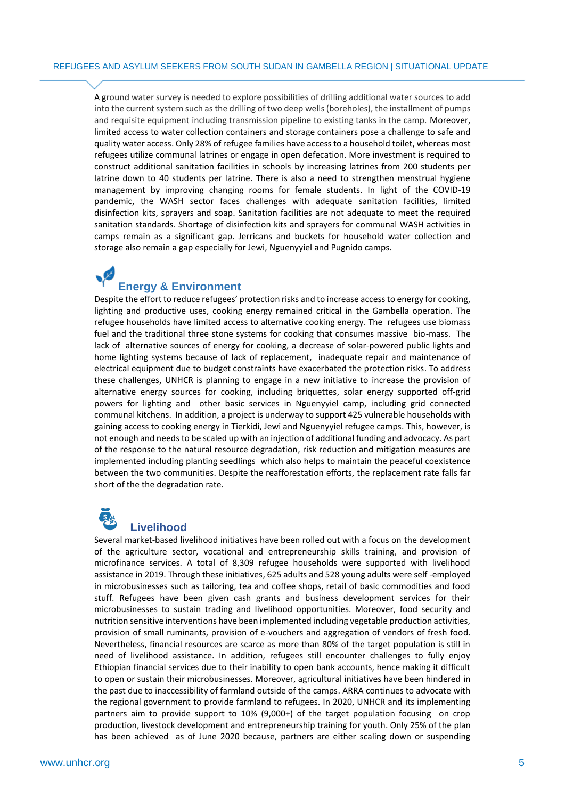A ground water survey is needed to explore possibilities of drilling additional water sources to add into the current system such as the drilling of two deep wells (boreholes), the installment of pumps and requisite equipment including transmission pipeline to existing tanks in the camp. Moreover, limited access to water collection containers and storage containers pose a challenge to safe and quality water access. Only 28% of refugee families have access to a household toilet, whereas most refugees utilize communal latrines or engage in open defecation. More investment is required to construct additional sanitation facilities in schools by increasing latrines from 200 students per latrine down to 40 students per latrine. There is also a need to strengthen menstrual hygiene management by improving changing rooms for female students. In light of the COVID-19 pandemic, the WASH sector faces challenges with adequate sanitation facilities, limited disinfection kits, sprayers and soap. Sanitation facilities are not adequate to meet the required sanitation standards. Shortage of disinfection kits and sprayers for communal WASH activities in camps remain as a significant gap. Jerricans and buckets for household water collection and storage also remain a gap especially for Jewi, Nguenyyiel and Pugnido camps.

### **Energy & Environment**

Despite the effort to reduce refugees' protection risks and to increase access to energy for cooking, lighting and productive uses, cooking energy remained critical in the Gambella operation. The refugee households have limited access to alternative cooking energy. The refugees use biomass fuel and the traditional three stone systems for cooking that consumes massive bio-mass. The lack of alternative sources of energy for cooking, a decrease of solar-powered public lights and home lighting systems because of lack of replacement, inadequate repair and maintenance of electrical equipment due to budget constraints have exacerbated the protection risks. To address these challenges, UNHCR is planning to engage in a new initiative to increase the provision of alternative energy sources for cooking, including briquettes, solar energy supported off-grid powers for lighting and other basic services in Nguenyyiel camp, including grid connected communal kitchens. In addition, a project is underway to support 425 vulnerable households with gaining access to cooking energy in Tierkidi, Jewi and Nguenyyiel refugee camps. This, however, is not enough and needs to be scaled up with an injection of additional funding and advocacy. As part of the response to the natural resource degradation, risk reduction and mitigation measures are implemented including planting seedlings which also helps to maintain the peaceful coexistence between the two communities. Despite the reafforestation efforts, the replacement rate falls far short of the the degradation rate.

#### **Livelihood**

Several market-based livelihood initiatives have been rolled out with a focus on the development of the agriculture sector, vocational and entrepreneurship skills training, and provision of microfinance services. A total of 8,309 refugee households were supported with livelihood assistance in 2019. Through these initiatives, 625 adults and 528 young adults were self -employed in microbusinesses such as tailoring, tea and coffee shops, retail of basic commodities and food stuff. Refugees have been given cash grants and business development services for their microbusinesses to sustain trading and livelihood opportunities. Moreover, food security and nutrition sensitive interventions have been implemented including vegetable production activities, provision of small ruminants, provision of e-vouchers and aggregation of vendors of fresh food. Nevertheless, financial resources are scarce as more than 80% of the target population is still in need of livelihood assistance. In addition, refugees still encounter challenges to fully enjoy Ethiopian financial services due to their inability to open bank accounts, hence making it difficult to open or sustain their microbusinesses. Moreover, agricultural initiatives have been hindered in the past due to inaccessibility of farmland outside of the camps. ARRA continues to advocate with the regional government to provide farmland to refugees. In 2020, UNHCR and its implementing partners aim to provide support to 10% (9,000+) of the target population focusing on crop production, livestock development and entrepreneurship training for youth. Only 25% of the plan has been achieved as of June 2020 because, partners are either scaling down or suspending